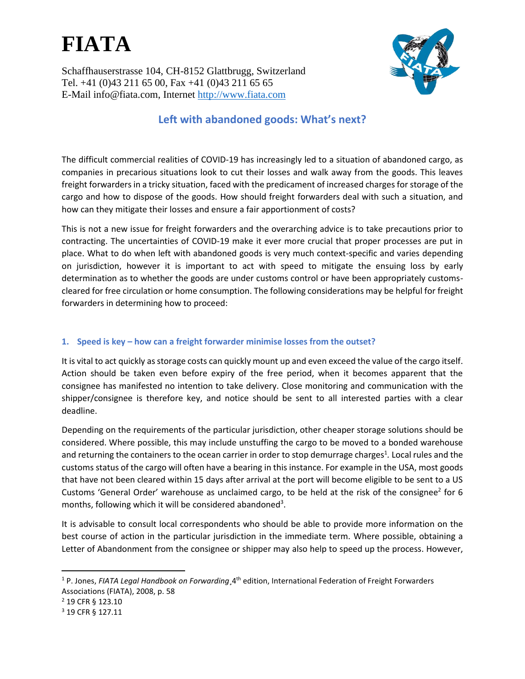Schaffhauserstrasse 104, CH-8152 Glattbrugg, Switzerland Tel. +41 (0)43 211 65 00, Fax +41 (0)43 211 65 65 E-Mail info@fiata.com, Internet [http://www.fiata.com](http://www.fiata.com/)



### **Left with abandoned goods: What's next?**

The difficult commercial realities of COVID-19 has increasingly led to a situation of abandoned cargo, as companies in precarious situations look to cut their losses and walk away from the goods. This leaves freight forwarders in a tricky situation, faced with the predicament of increased charges for storage of the cargo and how to dispose of the goods. How should freight forwarders deal with such a situation, and how can they mitigate their losses and ensure a fair apportionment of costs?

This is not a new issue for freight forwarders and the overarching advice is to take precautions prior to contracting. The uncertainties of COVID-19 make it ever more crucial that proper processes are put in place. What to do when left with abandoned goods is very much context-specific and varies depending on jurisdiction, however it is important to act with speed to mitigate the ensuing loss by early determination as to whether the goods are under customs control or have been appropriately customscleared for free circulation or home consumption. The following considerations may be helpful for freight forwarders in determining how to proceed:

#### **1. Speed is key – how can a freight forwarder minimise losses from the outset?**

It is vital to act quickly as storage costs can quickly mount up and even exceed the value of the cargo itself. Action should be taken even before expiry of the free period, when it becomes apparent that the consignee has manifested no intention to take delivery. Close monitoring and communication with the shipper/consignee is therefore key, and notice should be sent to all interested parties with a clear deadline.

Depending on the requirements of the particular jurisdiction, other cheaper storage solutions should be considered. Where possible, this may include unstuffing the cargo to be moved to a bonded warehouse and returning the containers to the ocean carrier in order to stop demurrage charges<sup>1</sup>. Local rules and the customs status of the cargo will often have a bearing in this instance. For example in the USA, most goods that have not been cleared within 15 days after arrival at the port will become eligible to be sent to a US Customs 'General Order' warehouse as unclaimed cargo, to be held at the risk of the consignee<sup>2</sup> for 6 months, following which it will be considered abandoned<sup>3</sup>.

It is advisable to consult local correspondents who should be able to provide more information on the best course of action in the particular jurisdiction in the immediate term. Where possible, obtaining a Letter of Abandonment from the consignee or shipper may also help to speed up the process. However,

<sup>2</sup> 19 CFR § 123.10

<sup>1</sup> P. Jones, *FIATA Legal Handbook on Forwarding*¸4th edition, International Federation of Freight Forwarders Associations (FIATA), 2008, p. 58

<sup>3</sup> 19 CFR § 127.11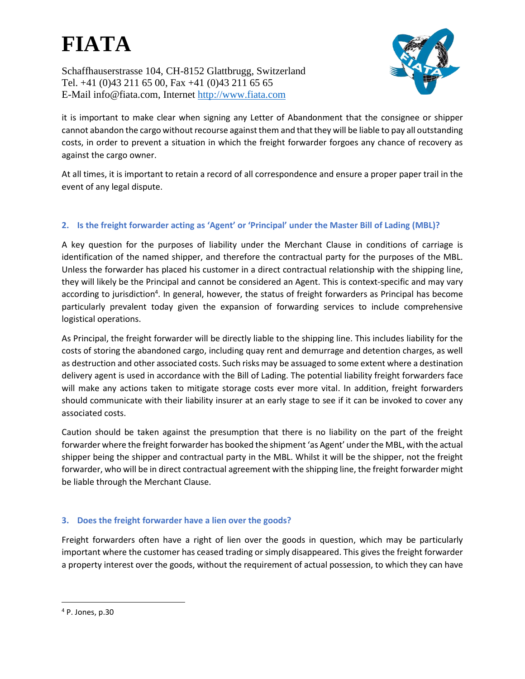Schaffhauserstrasse 104, CH-8152 Glattbrugg, Switzerland Tel. +41 (0)43 211 65 00, Fax +41 (0)43 211 65 65 E-Mail info@fiata.com, Internet [http://www.fiata.com](http://www.fiata.com/)



it is important to make clear when signing any Letter of Abandonment that the consignee or shipper cannot abandon the cargo without recourse against them and that they will be liable to pay all outstanding costs, in order to prevent a situation in which the freight forwarder forgoes any chance of recovery as against the cargo owner.

At all times, it is important to retain a record of all correspondence and ensure a proper paper trail in the event of any legal dispute.

#### **2. Is the freight forwarder acting as 'Agent' or 'Principal' under the Master Bill of Lading (MBL)?**

A key question for the purposes of liability under the Merchant Clause in conditions of carriage is identification of the named shipper, and therefore the contractual party for the purposes of the MBL. Unless the forwarder has placed his customer in a direct contractual relationship with the shipping line, they will likely be the Principal and cannot be considered an Agent. This is context-specific and may vary according to jurisdiction<sup>4</sup>. In general, however, the status of freight forwarders as Principal has become particularly prevalent today given the expansion of forwarding services to include comprehensive logistical operations.

As Principal, the freight forwarder will be directly liable to the shipping line. This includes liability for the costs of storing the abandoned cargo, including quay rent and demurrage and detention charges, as well as destruction and other associated costs. Such risks may be assuaged to some extent where a destination delivery agent is used in accordance with the Bill of Lading. The potential liability freight forwarders face will make any actions taken to mitigate storage costs ever more vital. In addition, freight forwarders should communicate with their liability insurer at an early stage to see if it can be invoked to cover any associated costs.

Caution should be taken against the presumption that there is no liability on the part of the freight forwarder where the freight forwarder has booked the shipment 'as Agent' under the MBL, with the actual shipper being the shipper and contractual party in the MBL. Whilst it will be the shipper, not the freight forwarder, who will be in direct contractual agreement with the shipping line, the freight forwarder might be liable through the Merchant Clause.

#### **3. Does the freight forwarder have a lien over the goods?**

Freight forwarders often have a right of lien over the goods in question, which may be particularly important where the customer has ceased trading or simply disappeared. This gives the freight forwarder a property interest over the goods, without the requirement of actual possession, to which they can have

<sup>4</sup> P. Jones, p.30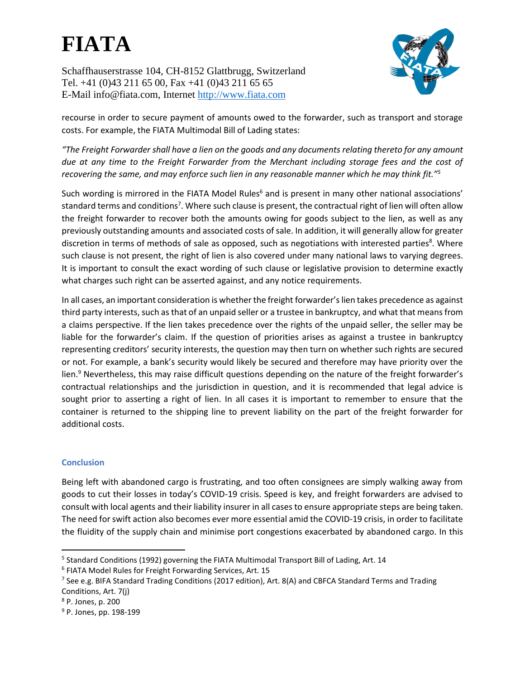Schaffhauserstrasse 104, CH-8152 Glattbrugg, Switzerland Tel. +41 (0)43 211 65 00, Fax +41 (0)43 211 65 65 E-Mail info@fiata.com, Internet [http://www.fiata.com](http://www.fiata.com/)

recourse in order to secure payment of amounts owed to the forwarder, such as transport and storage costs. For example, the FIATA Multimodal Bill of Lading states:

*"The Freight Forwarder shall have a lien on the goods and any documents relating thereto for any amount due at any time to the Freight Forwarder from the Merchant including storage fees and the cost of recovering the same, and may enforce such lien in any reasonable manner which he may think fit."<sup>5</sup>*

Such wording is mirrored in the FIATA Model Rules<sup>6</sup> and is present in many other national associations' standard terms and conditions<sup>7</sup>. Where such clause is present, the contractual right of lien will often allow the freight forwarder to recover both the amounts owing for goods subject to the lien, as well as any previously outstanding amounts and associated costs of sale. In addition, it will generally allow for greater discretion in terms of methods of sale as opposed, such as negotiations with interested parties<sup>8</sup>. Where such clause is not present, the right of lien is also covered under many national laws to varying degrees. It is important to consult the exact wording of such clause or legislative provision to determine exactly what charges such right can be asserted against, and any notice requirements.

In all cases, an important consideration is whether the freight forwarder's lien takes precedence as against third party interests, such as that of an unpaid seller or a trustee in bankruptcy, and what that meansfrom a claims perspective. If the lien takes precedence over the rights of the unpaid seller, the seller may be liable for the forwarder's claim. If the question of priorities arises as against a trustee in bankruptcy representing creditors' security interests, the question may then turn on whether such rights are secured or not. For example, a bank's security would likely be secured and therefore may have priority over the lien.<sup>9</sup> Nevertheless, this may raise difficult questions depending on the nature of the freight forwarder's contractual relationships and the jurisdiction in question, and it is recommended that legal advice is sought prior to asserting a right of lien. In all cases it is important to remember to ensure that the container is returned to the shipping line to prevent liability on the part of the freight forwarder for additional costs.

#### **Conclusion**

Being left with abandoned cargo is frustrating, and too often consignees are simply walking away from goods to cut their losses in today's COVID-19 crisis. Speed is key, and freight forwarders are advised to consult with local agents and their liability insurer in all cases to ensure appropriate steps are being taken. The need for swift action also becomes ever more essential amid the COVID-19 crisis, in order to facilitate the fluidity of the supply chain and minimise port congestions exacerbated by abandoned cargo. In this

<sup>&</sup>lt;sup>5</sup> Standard Conditions (1992) governing the FIATA Multimodal Transport Bill of Lading, Art. 14

<sup>6</sup> FIATA Model Rules for Freight Forwarding Services, Art. 15

<sup>&</sup>lt;sup>7</sup> See e.g. BIFA Standard Trading Conditions (2017 edition), Art. 8(A) and CBFCA Standard Terms and Trading Conditions, Art. 7(j)

<sup>8</sup> P. Jones, p. 200

<sup>&</sup>lt;sup>9</sup> P. Jones, pp. 198-199